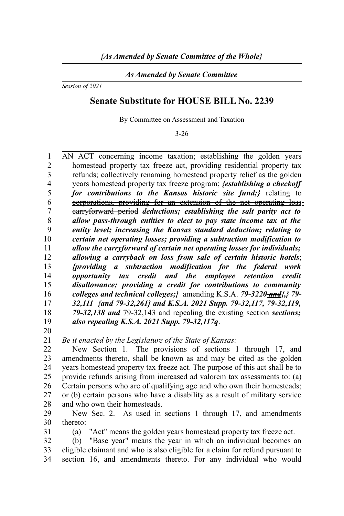## *As Amended by Senate Committee*

*Session of 2021*

## **Senate Substitute for HOUSE BILL No. 2239**

By Committee on Assessment and Taxation

3-26

AN ACT concerning income taxation; establishing the golden years homestead property tax freeze act, providing residential property tax refunds; collectively renaming homestead property relief as the golden years homestead property tax freeze program; *{establishing a checkoff for contributions to the Kansas historic site fund;}* relating to corporations, providing for an extension of the net operating loss carryforward period *deductions; establishing the salt parity act to allow pass-through entities to elect to pay state income tax at the entity level; increasing the Kansas standard deduction; relating to certain net operating losses; providing a subtraction modification to allow the carryforward of certain net operating losses for individuals; allowing a carryback on loss from sale of certain historic hotels*; *{providing a subtraction modification for the federal work opportunity tax credit and the employee retention credit disallowance; providing a credit for contributions to community colleges and technical colleges;}* amending K.S.A. *79-3220 and{,} 79- 32,111 {and 79-32,261} and K.S.A. 2021 Supp. 79-32,117, 79-32,119,* 79-32,138 and 79-32,143 and repealing the existing sections; *also repealing K.S.A. 2021 Supp. 79-32,117q*. 1  $\overline{2}$ 3 4 5 6 7 8 9 10 11 12 13 14 15 16 17 18 19

20

31

*Be it enacted by the Legislature of the State of Kansas:* 21

New Section 1. The provisions of sections 1 through 17, and amendments thereto, shall be known as and may be cited as the golden years homestead property tax freeze act. The purpose of this act shall be to provide refunds arising from increased ad valorem tax assessments to: (a) Certain persons who are of qualifying age and who own their homesteads; or (b) certain persons who have a disability as a result of military service and who own their homesteads. 22 23 24 25 26 27 28

New Sec. 2. As used in sections 1 through 17, and amendments thereto: 29 30

(a) "Act" means the golden years homestead property tax freeze act.

(b) "Base year" means the year in which an individual becomes an eligible claimant and who is also eligible for a claim for refund pursuant to section 16, and amendments thereto. For any individual who would 32 33 34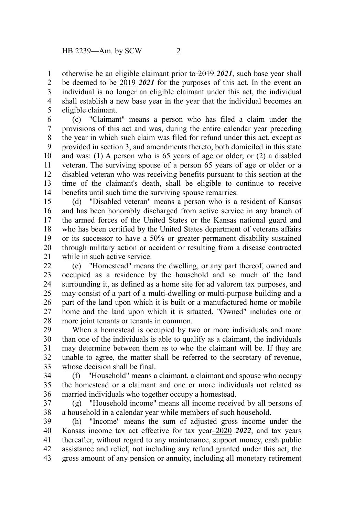otherwise be an eligible claimant prior to 2019 *2021*, such base year shall be deemed to be 2019 2021 for the purposes of this act. In the event an individual is no longer an eligible claimant under this act, the individual shall establish a new base year in the year that the individual becomes an eligible claimant. 1 2 3 4 5

(c) "Claimant" means a person who has filed a claim under the provisions of this act and was, during the entire calendar year preceding the year in which such claim was filed for refund under this act, except as provided in section 3, and amendments thereto, both domiciled in this state and was: (1) A person who is 65 years of age or older; or (2) a disabled veteran. The surviving spouse of a person 65 years of age or older or a disabled veteran who was receiving benefits pursuant to this section at the time of the claimant's death, shall be eligible to continue to receive benefits until such time the surviving spouse remarries. 6 7 8 9 10 11 12 13 14

(d) "Disabled veteran" means a person who is a resident of Kansas and has been honorably discharged from active service in any branch of the armed forces of the United States or the Kansas national guard and who has been certified by the United States department of veterans affairs or its successor to have a 50% or greater permanent disability sustained through military action or accident or resulting from a disease contracted while in such active service. 15 16 17 18 19 20 21

(e) "Homestead" means the dwelling, or any part thereof, owned and occupied as a residence by the household and so much of the land surrounding it, as defined as a home site for ad valorem tax purposes, and may consist of a part of a multi-dwelling or multi-purpose building and a part of the land upon which it is built or a manufactured home or mobile home and the land upon which it is situated. "Owned" includes one or more joint tenants or tenants in common.  $22$ 23 24 25 26 27 28

When a homestead is occupied by two or more individuals and more than one of the individuals is able to qualify as a claimant, the individuals may determine between them as to who the claimant will be. If they are unable to agree, the matter shall be referred to the secretary of revenue, whose decision shall be final. 29 30 31 32 33

(f) "Household" means a claimant, a claimant and spouse who occupy the homestead or a claimant and one or more individuals not related as married individuals who together occupy a homestead. 34 35 36

(g) "Household income" means all income received by all persons of a household in a calendar year while members of such household. 37 38

(h) "Income" means the sum of adjusted gross income under the Kansas income tax act effective for tax year  $\frac{2020}{2022}$ , and tax years thereafter, without regard to any maintenance, support money, cash public assistance and relief, not including any refund granted under this act, the gross amount of any pension or annuity, including all monetary retirement 39 40 41 42 43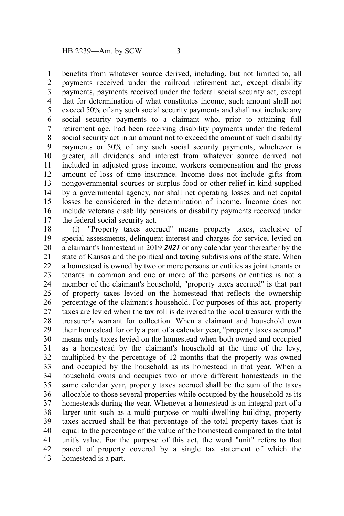benefits from whatever source derived, including, but not limited to, all payments received under the railroad retirement act, except disability payments, payments received under the federal social security act, except that for determination of what constitutes income, such amount shall not exceed 50% of any such social security payments and shall not include any social security payments to a claimant who, prior to attaining full retirement age, had been receiving disability payments under the federal social security act in an amount not to exceed the amount of such disability payments or 50% of any such social security payments, whichever is greater, all dividends and interest from whatever source derived not included in adjusted gross income, workers compensation and the gross amount of loss of time insurance. Income does not include gifts from nongovernmental sources or surplus food or other relief in kind supplied by a governmental agency, nor shall net operating losses and net capital losses be considered in the determination of income. Income does not include veterans disability pensions or disability payments received under the federal social security act. 1 2 3 4 5 6 7 8 9 10 11 12 13 14 15 16 17

(i) "Property taxes accrued" means property taxes, exclusive of special assessments, delinquent interest and charges for service, levied on a claimant's homestead in 2019 *2021* or any calendar year thereafter by the state of Kansas and the political and taxing subdivisions of the state. When a homestead is owned by two or more persons or entities as joint tenants or tenants in common and one or more of the persons or entities is not a member of the claimant's household, "property taxes accrued" is that part of property taxes levied on the homestead that reflects the ownership percentage of the claimant's household. For purposes of this act, property taxes are levied when the tax roll is delivered to the local treasurer with the treasurer's warrant for collection. When a claimant and household own their homestead for only a part of a calendar year, "property taxes accrued" means only taxes levied on the homestead when both owned and occupied as a homestead by the claimant's household at the time of the levy, multiplied by the percentage of 12 months that the property was owned and occupied by the household as its homestead in that year. When a household owns and occupies two or more different homesteads in the same calendar year, property taxes accrued shall be the sum of the taxes allocable to those several properties while occupied by the household as its homesteads during the year. Whenever a homestead is an integral part of a larger unit such as a multi-purpose or multi-dwelling building, property taxes accrued shall be that percentage of the total property taxes that is equal to the percentage of the value of the homestead compared to the total unit's value. For the purpose of this act, the word "unit" refers to that parcel of property covered by a single tax statement of which the homestead is a part. 18 19 20 21 22 23 24 25 26 27 28 29 30 31 32 33 34 35 36 37 38 39 40 41 42 43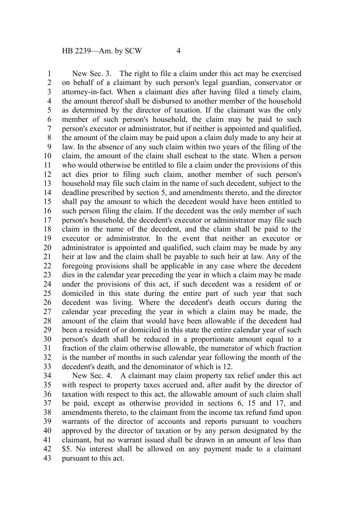New Sec. 3. The right to file a claim under this act may be exercised on behalf of a claimant by such person's legal guardian, conservator or attorney-in-fact. When a claimant dies after having filed a timely claim, the amount thereof shall be disbursed to another member of the household as determined by the director of taxation. If the claimant was the only member of such person's household, the claim may be paid to such person's executor or administrator, but if neither is appointed and qualified, the amount of the claim may be paid upon a claim duly made to any heir at law. In the absence of any such claim within two years of the filing of the claim, the amount of the claim shall escheat to the state. When a person who would otherwise be entitled to file a claim under the provisions of this act dies prior to filing such claim, another member of such person's household may file such claim in the name of such decedent, subject to the deadline prescribed by section 5, and amendments thereto, and the director shall pay the amount to which the decedent would have been entitled to such person filing the claim. If the decedent was the only member of such person's household, the decedent's executor or administrator may file such claim in the name of the decedent, and the claim shall be paid to the executor or administrator. In the event that neither an executor or administrator is appointed and qualified, such claim may be made by any heir at law and the claim shall be payable to such heir at law. Any of the foregoing provisions shall be applicable in any case where the decedent dies in the calendar year preceding the year in which a claim may be made under the provisions of this act, if such decedent was a resident of or domiciled in this state during the entire part of such year that such decedent was living. Where the decedent's death occurs during the calendar year preceding the year in which a claim may be made, the amount of the claim that would have been allowable if the decedent had been a resident of or domiciled in this state the entire calendar year of such person's death shall be reduced in a proportionate amount equal to a fraction of the claim otherwise allowable, the numerator of which fraction is the number of months in such calendar year following the month of the decedent's death, and the denominator of which is 12. 1 2 3 4 5 6 7 8 9 10 11 12 13 14 15 16 17 18 19 20 21 22 23 24 25 26 27 28 29 30 31 32 33

New Sec. 4. A claimant may claim property tax relief under this act with respect to property taxes accrued and, after audit by the director of taxation with respect to this act, the allowable amount of such claim shall be paid, except as otherwise provided in sections 6, 15 and 17, and amendments thereto, to the claimant from the income tax refund fund upon warrants of the director of accounts and reports pursuant to vouchers approved by the director of taxation or by any person designated by the claimant, but no warrant issued shall be drawn in an amount of less than \$5. No interest shall be allowed on any payment made to a claimant pursuant to this act. 34 35 36 37 38 39 40 41 42 43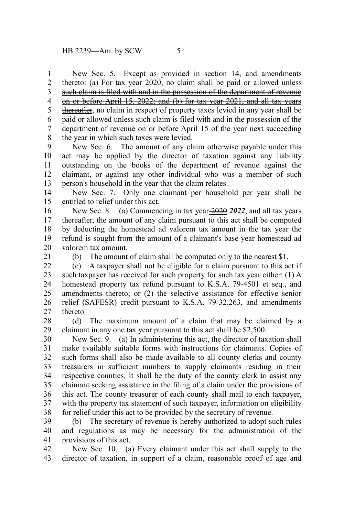New Sec. 5. Except as provided in section 14, and amendments thereto:  $(a)$  For tax year 2020, no claim shall be paid or allowed unless such claim is filed with and in the possession of the department of revenue on or before April 15, 2022; and (b) for tax year 2021, and all tax years thereafter, no claim in respect of property taxes levied in any year shall be paid or allowed unless such claim is filed with and in the possession of the department of revenue on or before April 15 of the year next succeeding the year in which such taxes were levied. 1 2 3 4 5 6 7 8

New Sec. 6. The amount of any claim otherwise payable under this act may be applied by the director of taxation against any liability outstanding on the books of the department of revenue against the claimant, or against any other individual who was a member of such person's household in the year that the claim relates. 9 10 11 12 13

New Sec. 7. Only one claimant per household per year shall be entitled to relief under this act. 14 15

New Sec. 8. (a) Commencing in tax year  $\frac{2020}{2022}$ , and all tax years thereafter, the amount of any claim pursuant to this act shall be computed by deducting the homestead ad valorem tax amount in the tax year the refund is sought from the amount of a claimant's base year homestead ad valorem tax amount. 16 17 18 19 20

21

(b) The amount of claim shall be computed only to the nearest \$1.

(c) A taxpayer shall not be eligible for a claim pursuant to this act if such taxpayer has received for such property for such tax year either: (1) A homestead property tax refund pursuant to K.S.A. 79-4501 et seq., and amendments thereto; or (2) the selective assistance for effective senior relief (SAFESR) credit pursuant to K.S.A. 79-32,263, and amendments thereto. 22 23 24 25 26 27

(d) The maximum amount of a claim that may be claimed by a claimant in any one tax year pursuant to this act shall be \$2,500. 28 29

New Sec. 9. (a) In administering this act, the director of taxation shall make available suitable forms with instructions for claimants. Copies of such forms shall also be made available to all county clerks and county treasurers in sufficient numbers to supply claimants residing in their respective counties. It shall be the duty of the county clerk to assist any claimant seeking assistance in the filing of a claim under the provisions of this act. The county treasurer of each county shall mail to each taxpayer, with the property tax statement of such taxpayer, information on eligibility for relief under this act to be provided by the secretary of revenue. 30 31 32 33 34 35 36 37 38

(b) The secretary of revenue is hereby authorized to adopt such rules and regulations as may be necessary for the administration of the provisions of this act. 39 40 41

New Sec. 10. (a) Every claimant under this act shall supply to the director of taxation, in support of a claim, reasonable proof of age and 42 43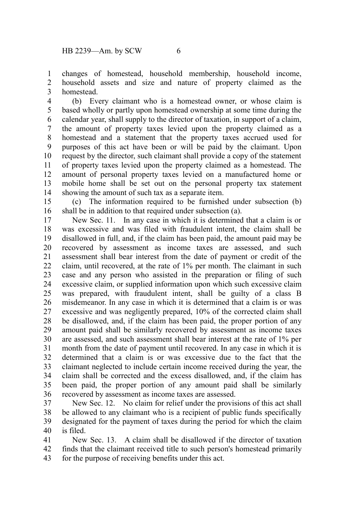changes of homestead, household membership, household income, household assets and size and nature of property claimed as the homestead. 1  $\mathcal{L}$ 3

(b) Every claimant who is a homestead owner, or whose claim is based wholly or partly upon homestead ownership at some time during the calendar year, shall supply to the director of taxation, in support of a claim, the amount of property taxes levied upon the property claimed as a homestead and a statement that the property taxes accrued used for purposes of this act have been or will be paid by the claimant. Upon request by the director, such claimant shall provide a copy of the statement of property taxes levied upon the property claimed as a homestead. The amount of personal property taxes levied on a manufactured home or mobile home shall be set out on the personal property tax statement showing the amount of such tax as a separate item. 4 5 6 7 8 9 10 11 12 13 14

(c) The information required to be furnished under subsection (b) shall be in addition to that required under subsection (a). 15 16

New Sec. 11. In any case in which it is determined that a claim is or was excessive and was filed with fraudulent intent, the claim shall be disallowed in full, and, if the claim has been paid, the amount paid may be recovered by assessment as income taxes are assessed, and such assessment shall bear interest from the date of payment or credit of the claim, until recovered, at the rate of 1% per month. The claimant in such case and any person who assisted in the preparation or filing of such excessive claim, or supplied information upon which such excessive claim was prepared, with fraudulent intent, shall be guilty of a class B misdemeanor. In any case in which it is determined that a claim is or was excessive and was negligently prepared, 10% of the corrected claim shall be disallowed, and, if the claim has been paid, the proper portion of any amount paid shall be similarly recovered by assessment as income taxes are assessed, and such assessment shall bear interest at the rate of 1% per month from the date of payment until recovered. In any case in which it is determined that a claim is or was excessive due to the fact that the claimant neglected to include certain income received during the year, the claim shall be corrected and the excess disallowed, and, if the claim has been paid, the proper portion of any amount paid shall be similarly recovered by assessment as income taxes are assessed. 17 18 19 20 21 22 23 24 25 26 27 28 29 30 31 32 33 34 35 36

New Sec. 12. No claim for relief under the provisions of this act shall be allowed to any claimant who is a recipient of public funds specifically designated for the payment of taxes during the period for which the claim is filed. 37 38 39 40

New Sec. 13. A claim shall be disallowed if the director of taxation finds that the claimant received title to such person's homestead primarily for the purpose of receiving benefits under this act. 41 42 43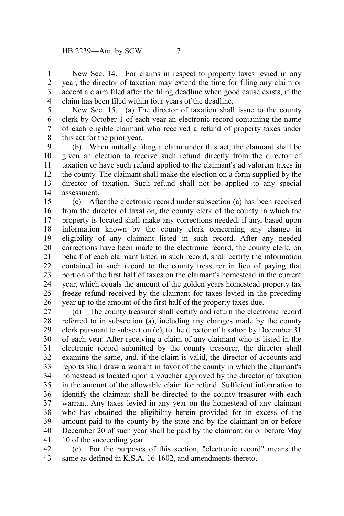New Sec. 14. For claims in respect to property taxes levied in any year, the director of taxation may extend the time for filing any claim or accept a claim filed after the filing deadline when good cause exists, if the claim has been filed within four years of the deadline. 1 2 3 4

5

New Sec. 15. (a) The director of taxation shall issue to the county clerk by October 1 of each year an electronic record containing the name of each eligible claimant who received a refund of property taxes under this act for the prior year. 6 7 8

(b) When initially filing a claim under this act, the claimant shall be given an election to receive such refund directly from the director of taxation or have such refund applied to the claimant's ad valorem taxes in the county. The claimant shall make the election on a form supplied by the director of taxation. Such refund shall not be applied to any special assessment. 9 10 11 12 13 14

(c) After the electronic record under subsection (a) has been received from the director of taxation, the county clerk of the county in which the property is located shall make any corrections needed, if any, based upon information known by the county clerk concerning any change in eligibility of any claimant listed in such record. After any needed corrections have been made to the electronic record, the county clerk, on behalf of each claimant listed in such record, shall certify the information contained in such record to the county treasurer in lieu of paying that portion of the first half of taxes on the claimant's homestead in the current year, which equals the amount of the golden years homestead property tax freeze refund received by the claimant for taxes levied in the preceding year up to the amount of the first half of the property taxes due. 15 16 17 18 19 20 21 22 23 24 25 26

(d) The county treasurer shall certify and return the electronic record referred to in subsection (a), including any changes made by the county clerk pursuant to subsection (c), to the director of taxation by December 31 of each year. After receiving a claim of any claimant who is listed in the electronic record submitted by the county treasurer, the director shall examine the same, and, if the claim is valid, the director of accounts and reports shall draw a warrant in favor of the county in which the claimant's homestead is located upon a voucher approved by the director of taxation in the amount of the allowable claim for refund. Sufficient information to identify the claimant shall be directed to the county treasurer with each warrant. Any taxes levied in any year on the homestead of any claimant who has obtained the eligibility herein provided for in excess of the amount paid to the county by the state and by the claimant on or before December 20 of such year shall be paid by the claimant on or before May 10 of the succeeding year. 27 28 29 30 31 32 33 34 35 36 37 38 39 40 41

(e) For the purposes of this section, "electronic record" means the same as defined in K.S.A. 16-1602, and amendments thereto. 42 43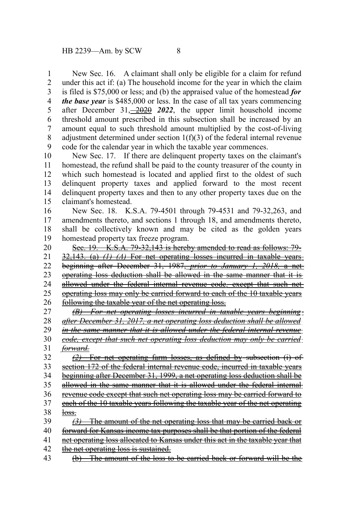New Sec. 16. A claimant shall only be eligible for a claim for refund under this act if: (a) The household income for the year in which the claim is filed is \$75,000 or less; and (b) the appraised value of the homestead *for the base year* is \$485,000 or less. In the case of all tax years commencing after December 31, 2020 *2022*, the upper limit household income threshold amount prescribed in this subsection shall be increased by an amount equal to such threshold amount multiplied by the cost-of-living adjustment determined under section  $1(f)(3)$  of the federal internal revenue code for the calendar year in which the taxable year commences. 1 2 3 4 5 6 7 8 9

New Sec. 17. If there are delinquent property taxes on the claimant's homestead, the refund shall be paid to the county treasurer of the county in which such homestead is located and applied first to the oldest of such delinquent property taxes and applied forward to the most recent delinquent property taxes and then to any other property taxes due on the claimant's homestead. 10 11 12 13 14 15

New Sec. 18. K.S.A. 79-4501 through 79-4531 and 79-32,263, and amendments thereto, and sections 1 through 18, and amendments thereto, shall be collectively known and may be cited as the golden years homestead property tax freeze program. 16 17 18 19

Sec. 19. K.S.A. 79-32,143 is hereby amended to read as follows: 79- 32,143. (a) *(1) (A)* For net operating losses incurred in taxable years beginning after December 31, 1987, *prior to January 1, 2018,* a net operating loss deduction shall be allowed in the same manner that it is allowed under the federal internal revenue code*,* except that such net operating loss may only be carried forward to each of the 10 taxable years following the taxable year of the net operating loss. 20 21 22 23 24 25 26

*(B) For net operating losses incurred in taxable years beginning after December 31, 2017, a net operating loss deduction shall be allowed in the same manner that it is allowed under the federal internal revenue code, except that such net operating loss deduction may only be carried forward. (2)* For net operating farm losses, as defined by subsection (i) of 27 28 29 30 31 32 33

section 172 of the federal internal revenue code, incurred in taxable years beginning after December 31, 1999, a net operating loss deduction shall be 34

allowed in the same manner that it is allowed under the federal internal 35

revenue code except that such net operating loss may be carried forward to each of the 10 taxable years following the taxable year of the net operating 36 37

- loss. 38
- *(3)* The amount of the net operating loss that may be carried back or forward for Kansas income tax purposes shall be that portion of the federal net operating loss allocated to Kansas under this act in the taxable year that the net operating loss is sustained. 39 40 41 42
- (b) The amount of the loss to be carried back or forward will be the 43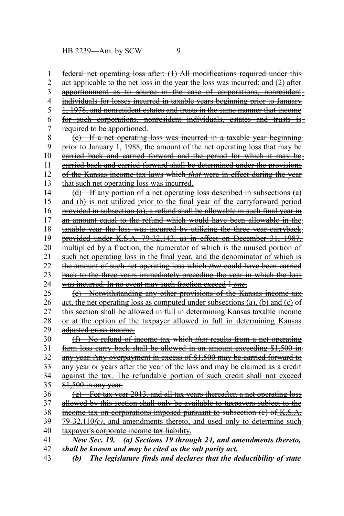federal net operating loss after: (1) All modifications required under this act applicable to the net loss in the year the loss was incurred; and (2) after apportionment as to source in the case of corporations, nonresident individuals for losses incurred in taxable years beginning prior to January 1, 1978, and nonresident estates and trusts in the same manner that income for such corporations, nonresident individuals, estates and trusts is required to be apportioned. (c) If a net operating loss was incurred in a taxable year beginning prior to January 1, 1988, the amount of the net operating loss that may be carried back and carried forward and the period for which it may be carried back and carried forward shall be determined under the provisions of the Kansas income tax laws which *that* were in effect during the year that such net operating loss was incurred. (d) If any portion of a net operating loss described in subsections (a) and (b) is not utilized prior to the final year of the carryforward period provided in subsection (a), a refund shall be allowable in such final year in an amount equal to the refund which would have been allowable in the taxable year the loss was incurred by utilizing the three year carryback provided under K.S.A. 79-32,143, as in effect on December 31, 1987, multiplied by a fraction, the numerator of which is the unused portion of such net operating loss in the final year, and the denominator of which is the amount of such net operating loss which *that* could have been carried back to the three years immediately preceding the year in which the loss was incurred. In no event may such fraction exceed 1 *one*. (e) Notwithstanding any other provisions of the Kansas income tax act, the net operating loss as computed under subsections (a), (b) and (c) of this section shall be allowed in full in determining Kansas taxable income or at the option of the taxpayer allowed in full in determining Kansas adjusted gross income. (f) No refund of income tax which *that* results from a net operating farm loss carry back shall be allowed in an amount exceeding \$1,500 in any year. Any overpayment in excess of \$1,500 may be carried forward to any year or years after the year of the loss and may be claimed as a credit against the tax. The refundable portion of such credit shall not exceed-\$1,500 in any year. (g) For tax year 2013, and all tax years thereafter, a net operating loss allowed by this section shall only be available to taxpayers subject to the income tax on corporations imposed pursuant to subsection (c) of K.S.A. 79-32,110(e), and amendments thereto, and used only to determine suchtaxpayer's corporate income tax liability. *New Sec. 19. (a) Sections 19 through 24, and amendments thereto, shall be known and may be cited as the salt parity act.* 1 2 3 4 5 6 7 8 9 10 11 12 13 14 15 16 17 18 19 20 21 22 23 24 25 26 27 28 29 30 31 32 33 34 35 36 37 38 39 40 41 42

*(b) The legislature finds and declares that the deductibility of state* 43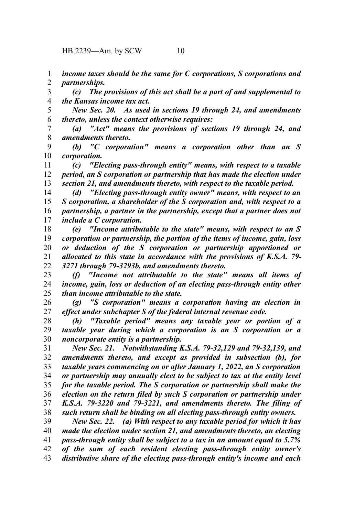HB 2239—Am. by SCW 10

*income taxes should be the same for C corporations, S corporations and partnerships.* 1 2

*(c) The provisions of this act shall be a part of and supplemental to the Kansas income tax act.* 3 4

*New Sec. 20. As used in sections 19 through 24, and amendments thereto, unless the context otherwise requires:* 5 6

*(a) "Act" means the provisions of sections 19 through 24, and amendments thereto.* 7 8

*(b) "C corporation" means a corporation other than an S corporation.* 9 10

*(c) "Electing pass-through entity" means, with respect to a taxable period, an S corporation or partnership that has made the election under section 21, and amendments thereto, with respect to the taxable period.* 11 12 13

*(d) "Electing pass-through entity owner" means, with respect to an S corporation, a shareholder of the S corporation and, with respect to a partnership, a partner in the partnership, except that a partner does not include a C corporation.* 14 15 16 17

*(e) "Income attributable to the state" means, with respect to an S corporation or partnership, the portion of the items of income, gain, loss or deduction of the S corporation or partnership apportioned or allocated to this state in accordance with the provisions of K.S.A. 79- 3271 through 79-3293b, and amendments thereto.* 18 19 20 21 22

*(f) "Income not attributable to the state" means all items of income, gain, loss or deduction of an electing pass-through entity other than income attributable to the state.* 23 24 25

*(g) "S corporation" means a corporation having an election in effect under subchapter S of the federal internal revenue code.* 26 27

*(h) "Taxable period" means any taxable year or portion of a taxable year during which a corporation is an S corporation or a noncorporate entity is a partnership.* 28 29 30

*New Sec. 21. Notwithstanding K.S.A. 79-32,129 and 79-32,139, and amendments thereto, and except as provided in subsection (b), for taxable years commencing on or after January 1, 2022, an S corporation or partnership may annually elect to be subject to tax at the entity level for the taxable period. The S corporation or partnership shall make the election on the return filed by such S corporation or partnership under K.S.A. 79-3220 and 79-3221, and amendments thereto. The filing of such return shall be binding on all electing pass-through entity owners.* 31 32 33 34 35 36 37 38

*New Sec. 22. (a) With respect to any taxable period for which it has made the election under section 21, and amendments thereto, an electing pass-through entity shall be subject to a tax in an amount equal to 5.7% of the sum of each resident electing pass-through entity owner's distributive share of the electing pass-through entity's income and each* 39 40 41 42 43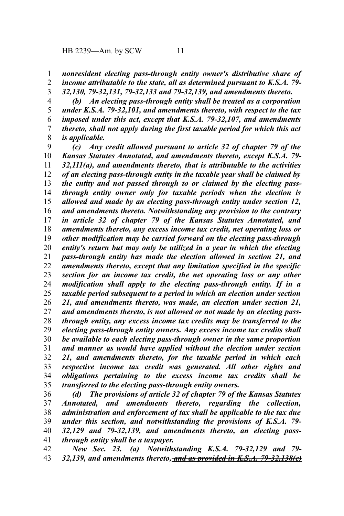*nonresident electing pass-through entity owner's distributive share of income attributable to the state, all as determined pursuant to K.S.A. 79-* 1 2

*32,130, 79-32,131, 79-32,133 and 79-32,139, and amendments thereto.* 3

*(b) An electing pass-through entity shall be treated as a corporation under K.S.A. 79-32,101, and amendments thereto, with respect to the tax imposed under this act, except that K.S.A. 79-32,107, and amendments thereto, shall not apply during the first taxable period for which this act is applicable.* 4 5 6 7 8

*(c) Any credit allowed pursuant to article 32 of chapter 79 of the Kansas Statutes Annotated, and amendments thereto, except K.S.A. 79- 32,111(a), and amendments thereto, that is attributable to the activities of an electing pass-through entity in the taxable year shall be claimed by the entity and not passed through to or claimed by the electing passthrough entity owner only for taxable periods when the election is allowed and made by an electing pass-through entity under section 12, and amendments thereto. Notwithstanding any provision to the contrary in article 32 of chapter 79 of the Kansas Statutes Annotated, and amendments thereto, any excess income tax credit, net operating loss or other modification may be carried forward on the electing pass-through entity's return but may only be utilized in a year in which the electing pass-through entity has made the election allowed in section 21, and amendments thereto, except that any limitation specified in the specific section for an income tax credit, the net operating loss or any other modification shall apply to the electing pass-through entity. If in a taxable period subsequent to a period in which an election under section 21, and amendments thereto, was made, an election under section 21, and amendments thereto, is not allowed or not made by an electing passthrough entity, any excess income tax credits may be transferred to the electing pass-through entity owners. Any excess income tax credits shall be available to each electing pass-through owner in the same proportion and manner as would have applied without the election under section 21, and amendments thereto, for the taxable period in which each respective income tax credit was generated. All other rights and obligations pertaining to the excess income tax credits shall be transferred to the electing pass-through entity owners.* 9 10 11 12 13 14 15 16 17 18 19 20 21 22 23 24 25 26 27 28 29 30 31 32 33 34 35

*(d) The provisions of article 32 of chapter 79 of the Kansas Statutes Annotated, and amendments thereto, regarding the collection, administration and enforcement of tax shall be applicable to the tax due under this section, and notwithstanding the provisions of K.S.A. 79- 32,129 and 79-32,139, and amendments thereto, an electing passthrough entity shall be a taxpayer.* 36 37 38 39 40 41

*New Sec. 23. (a) Notwithstanding K.S.A. 79-32,129 and 79- 32,139, and amendments thereto, and as provided in K.S.A. 79-32,138(c)* 42 43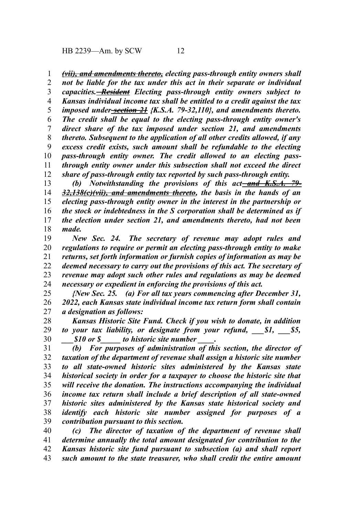HB 2239—Am. by SCW 12

*(vii), and amendments thereto, electing pass-through entity owners shall* 1

*not be liable for the tax under this act in their separate or individual capacities. Resident Electing pass-through entity owners subject to Kansas individual income tax shall be entitled to a credit against the tax imposed under section 21 {K.S.A. 79-32,110}, and amendments thereto. The credit shall be equal to the electing pass-through entity owner's direct share of the tax imposed under section 21, and amendments thereto. Subsequent to the application of all other credits allowed, if any excess credit exists, such amount shall be refundable to the electing pass-through entity owner. The credit allowed to an electing passthrough entity owner under this subsection shall not exceed the direct share of pass-through entity tax reported by such pass-through entity.* 2 3 4 5 6 7 8 9 10 11 12

(b) Notwithstanding the provisions of this act-and K.S.A. 79-*32,138(c)(vii), and amendments thereto, the basis in the hands of an electing pass-through entity owner in the interest in the partnership or the stock or indebtedness in the S corporation shall be determined as if the election under section 21, and amendments thereto, had not been made.* 13 14 15 16 17 18

*New Sec. 24. The secretary of revenue may adopt rules and regulations to require or permit an electing pass-through entity to make returns, set forth information or furnish copies of information as may be deemed necessary to carry out the provisions of this act. The secretary of revenue may adopt such other rules and regulations as may be deemed necessary or expedient in enforcing the provisions of this act.* 19 20 21 22 23 24

*{New Sec. 25. (a) For all tax years commencing after December 31, 2022, each Kansas state individual income tax return form shall contain a designation as follows:*  25 26 27

*Kansas Historic Site Fund. Check if you wish to donate, in addition to your tax liability, or designate from your refund,*  $$1,$  $$5,$ *\_\_\_\$10 or \$\_\_\_\_\_ to historic site number \_\_\_\_.* 28 29 30

*(b) For purposes of administration of this section, the director of taxation of the department of revenue shall assign a historic site number to all state-owned historic sites administered by the Kansas state historical society in order for a taxpayer to choose the historic site that will receive the donation. The instructions accompanying the individual income tax return shall include a brief description of all state-owned historic sites administered by the Kansas state historical society and identify each historic site number assigned for purposes of a contribution pursuant to this section.* 31 32 33 34 35 36 37 38 39

*(c) The director of taxation of the department of revenue shall determine annually the total amount designated for contribution to the Kansas historic site fund pursuant to subsection (a) and shall report such amount to the state treasurer, who shall credit the entire amount* 40 41 42 43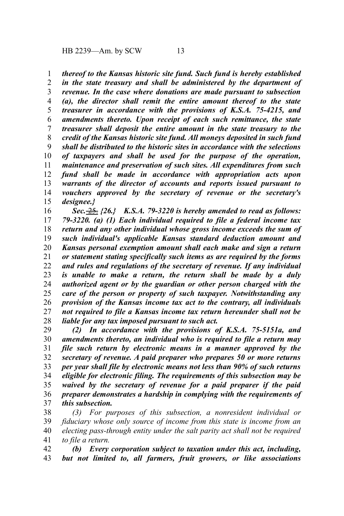*thereof to the Kansas historic site fund. Such fund is hereby established* 1

*in the state treasury and shall be administered by the department of revenue. In the case where donations are made pursuant to subsection (a), the director shall remit the entire amount thereof to the state treasurer in accordance with the provisions of K.S.A. 75-4215, and amendments thereto. Upon receipt of each such remittance, the state treasurer shall deposit the entire amount in the state treasury to the credit of the Kansas historic site fund. All moneys deposited in such fund shall be distributed to the historic sites in accordance with the selections of taxpayers and shall be used for the purpose of the operation, maintenance and preservation of such sites. All expenditures from such fund shall be made in accordance with appropriation acts upon warrants of the director of accounts and reports issued pursuant to vouchers approved by the secretary of revenue or the secretary's designee.}* 2 3 4 5 6 7 8 9 10 11 12 13 14 15

*Sec.* 25. *{26.} K.S.A. 79-3220 is hereby amended to read as follows: 79-3220. (a) (1) Each individual required to file a federal income tax return and any other individual whose gross income exceeds the sum of such individual's applicable Kansas standard deduction amount and Kansas personal exemption amount shall each make and sign a return or statement stating specifically such items as are required by the forms and rules and regulations of the secretary of revenue. If any individual is unable to make a return, the return shall be made by a duly authorized agent or by the guardian or other person charged with the care of the person or property of such taxpayer. Notwithstanding any provision of the Kansas income tax act to the contrary, all individuals not required to file a Kansas income tax return hereunder shall not be liable for any tax imposed pursuant to such act.* 16 17 18 19 20 21 22 23 24 25 26 27 28

*(2) In accordance with the provisions of K.S.A. 75-5151a, and amendments thereto, an individual who is required to file a return may file such return by electronic means in a manner approved by the secretary of revenue. A paid preparer who prepares 50 or more returns per year shall file by electronic means not less than 90% of such returns eligible for electronic filing. The requirements of this subsection may be waived by the secretary of revenue for a paid preparer if the paid preparer demonstrates a hardship in complying with the requirements of this subsection.* 29 30 31 32 33 34 35 36 37

*(3) For purposes of this subsection, a nonresident individual or fiduciary whose only source of income from this state is income from an electing pass-through entity under the salt parity act shall not be required to file a return.* 38 39 40 41

*(b) Every corporation subject to taxation under this act, including, but not limited to, all farmers, fruit growers, or like associations* 42 43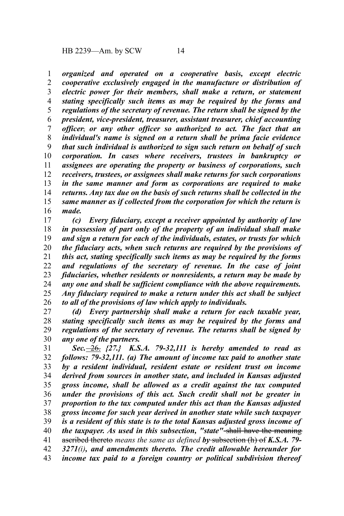*organized and operated on a cooperative basis, except electric cooperative exclusively engaged in the manufacture or distribution of electric power for their members, shall make a return, or statement stating specifically such items as may be required by the forms and regulations of the secretary of revenue. The return shall be signed by the president, vice-president, treasurer, assistant treasurer, chief accounting officer*, *or any other officer so authorized to act. The fact that an individual's name is signed on a return shall be prima facie evidence that such individual is authorized to sign such return on behalf of such corporation. In cases where receivers, trustees in bankruptcy or assignees are operating the property or business of corporations, such receivers, trustees, or assignees shall make returns for such corporations in the same manner and form as corporations are required to make returns. Any tax due on the basis of such returns shall be collected in the same manner as if collected from the corporation for which the return is made.* 1 2 3 4 5 6 7 8 9 10 11 12 13 14 15 16

*(c) Every fiduciary, except a receiver appointed by authority of law in possession of part only of the property of an individual shall make and sign a return for each of the individuals, estates, or trusts for which the fiduciary acts, when such returns are required by the provisions of this act, stating specifically such items as may be required by the forms and regulations of the secretary of revenue. In the case of joint fiduciaries, whether residents or nonresidents, a return may be made by any one and shall be sufficient compliance with the above requirements. Any fiduciary required to make a return under this act shall be subject to all of the provisions of law which apply to individuals.* 17 18 19 20 21 22 23 24 25 26

*(d) Every partnership shall make a return for each taxable year, stating specifically such items as may be required by the forms and regulations of the secretary of revenue. The returns shall be signed by any one of the partners.* 27 28 29 30

*Sec.* 26. *{27.} K.S.A. 79-32,111 is hereby amended to read as follows: 79-32,111. (a) The amount of income tax paid to another state by a resident individual, resident estate or resident trust on income derived from sources in another state, and included in Kansas adjusted gross income, shall be allowed as a credit against the tax computed under the provisions of this act. Such credit shall not be greater in proportion to the tax computed under this act than the Kansas adjusted gross income for such year derived in another state while such taxpayer is a resident of this state is to the total Kansas adjusted gross income of the taxpayer. As used in this subsection, "state"* shall have the meaning ascribed thereto *means the same as defined by* subsection (h) of *K.S.A. 79- 3271(i), and amendments thereto. The credit allowable hereunder for income tax paid to a foreign country or political subdivision thereof* 31 32 33 34 35 36 37 38 39 40 41 42 43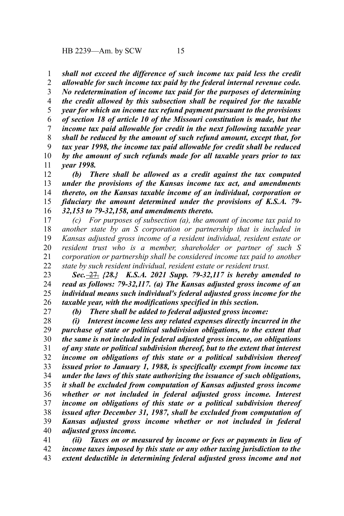HB 2239—Am. by SCW 15

*shall not exceed the difference of such income tax paid less the credit* 1

*allowable for such income tax paid by the federal internal revenue code. No redetermination of income tax paid for the purposes of determining the credit allowed by this subsection shall be required for the taxable year for which an income tax refund payment pursuant to the provisions of section 18 of article 10 of the Missouri constitution is made, but the income tax paid allowable for credit in the next following taxable year shall be reduced by the amount of such refund amount, except that, for tax year 1998, the income tax paid allowable for credit shall be reduced by the amount of such refunds made for all taxable years prior to tax year 1998.* 2 3 4 5 6 7 8 9 10 11

*(b) There shall be allowed as a credit against the tax computed under the provisions of the Kansas income tax act, and amendments thereto, on the Kansas taxable income of an individual, corporation or fiduciary the amount determined under the provisions of K.S.A. 79- 32,153 to 79-32,158, and amendments thereto.* 12 13 14 15 16

*(c) For purposes of subsection (a), the amount of income tax paid to another state by an S corporation or partnership that is included in Kansas adjusted gross income of a resident individual, resident estate or resident trust who is a member, shareholder or partner of such S corporation or partnership shall be considered income tax paid to another state by such resident individual, resident estate or resident trust.* 17 18 19 20 21 22

*Sec.* 27. *{28.} K.S.A. 2021 Supp. 79-32,117 is hereby amended to read as follows: 79-32,117. (a) The Kansas adjusted gross income of an individual means such individual's federal adjusted gross income for the taxable year, with the modifications specified in this section.* 23 24 25 26

27

*(b) There shall be added to federal adjusted gross income:*

*(i) Interest income less any related expenses directly incurred in the purchase of state or political subdivision obligations, to the extent that the same is not included in federal adjusted gross income, on obligations of any state or political subdivision thereof, but to the extent that interest income on obligations of this state or a political subdivision thereof issued prior to January 1, 1988, is specifically exempt from income tax under the laws of this state authorizing the issuance of such obligations, it shall be excluded from computation of Kansas adjusted gross income whether or not included in federal adjusted gross income. Interest income on obligations of this state or a political subdivision thereof issued after December 31, 1987, shall be excluded from computation of Kansas adjusted gross income whether or not included in federal adjusted gross income.* 28 29 30 31 32 33 34 35 36 37 38 39 40

*(ii) Taxes on or measured by income or fees or payments in lieu of income taxes imposed by this state or any other taxing jurisdiction to the extent deductible in determining federal adjusted gross income and not* 41 42 43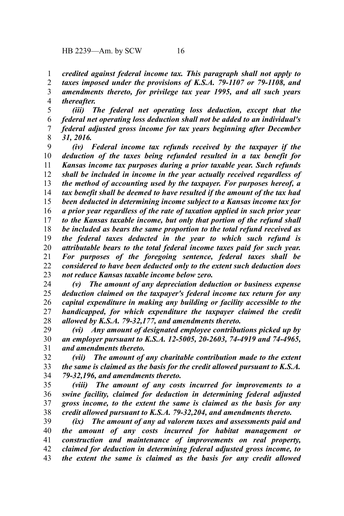*credited against federal income tax. This paragraph shall not apply to* 1

*taxes imposed under the provisions of K.S.A. 79-1107 or 79-1108, and amendments thereto, for privilege tax year 1995, and all such years* 2 3

*thereafter.* 4

*(iii) The federal net operating loss deduction, except that the federal net operating loss deduction shall not be added to an individual's federal adjusted gross income for tax years beginning after December 31, 2016.* 5 6 7 8

*(iv) Federal income tax refunds received by the taxpayer if the deduction of the taxes being refunded resulted in a tax benefit for Kansas income tax purposes during a prior taxable year. Such refunds shall be included in income in the year actually received regardless of the method of accounting used by the taxpayer. For purposes hereof, a tax benefit shall be deemed to have resulted if the amount of the tax had been deducted in determining income subject to a Kansas income tax for a prior year regardless of the rate of taxation applied in such prior year to the Kansas taxable income, but only that portion of the refund shall be included as bears the same proportion to the total refund received as the federal taxes deducted in the year to which such refund is attributable bears to the total federal income taxes paid for such year. For purposes of the foregoing sentence, federal taxes shall be considered to have been deducted only to the extent such deduction does not reduce Kansas taxable income below zero.* 9 10 11 12 13 14 15 16 17 18 19 20 21 22 23

*(v) The amount of any depreciation deduction or business expense deduction claimed on the taxpayer's federal income tax return for any capital expenditure in making any building or facility accessible to the handicapped, for which expenditure the taxpayer claimed the credit allowed by K.S.A. 79-32,177, and amendments thereto.* 24 25 26 27 28

*(vi) Any amount of designated employee contributions picked up by an employer pursuant to K.S.A. 12-5005, 20-2603, 74-4919 and 74-4965, and amendments thereto.* 29 30 31

*(vii) The amount of any charitable contribution made to the extent the same is claimed as the basis for the credit allowed pursuant to K.S.A. 79-32,196, and amendments thereto.* 32 33 34

*(viii) The amount of any costs incurred for improvements to a swine facility, claimed for deduction in determining federal adjusted gross income, to the extent the same is claimed as the basis for any credit allowed pursuant to K.S.A. 79-32,204, and amendments thereto.* 35 36 37 38

*(ix) The amount of any ad valorem taxes and assessments paid and the amount of any costs incurred for habitat management or construction and maintenance of improvements on real property, claimed for deduction in determining federal adjusted gross income, to the extent the same is claimed as the basis for any credit allowed* 39 40 41 42 43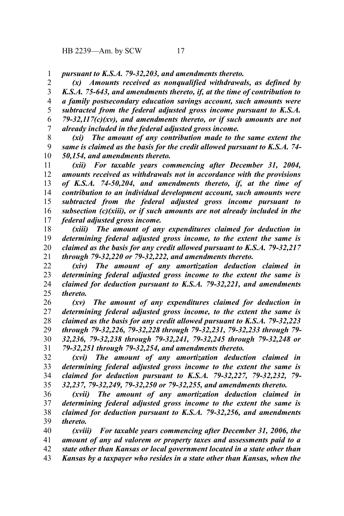*pursuant to K.S.A. 79-32,203, and amendments thereto.* 1

*(x) Amounts received as nonqualified withdrawals, as defined by K.S.A. 75-643, and amendments thereto, if, at the time of contribution to a family postsecondary education savings account, such amounts were subtracted from the federal adjusted gross income pursuant to K.S.A. 79-32,117(c)(xv), and amendments thereto, or if such amounts are not already included in the federal adjusted gross income.* 2 3 4 5 6 7

*(xi) The amount of any contribution made to the same extent the same is claimed as the basis for the credit allowed pursuant to K.S.A. 74- 50,154, and amendments thereto.* 8 9 10

*(xii) For taxable years commencing after December 31, 2004, amounts received as withdrawals not in accordance with the provisions of K.S.A. 74-50,204, and amendments thereto, if, at the time of contribution to an individual development account, such amounts were subtracted from the federal adjusted gross income pursuant to subsection (c)(xiii), or if such amounts are not already included in the federal adjusted gross income.* 11 12 13 14 15 16 17

*(xiii) The amount of any expenditures claimed for deduction in determining federal adjusted gross income, to the extent the same is claimed as the basis for any credit allowed pursuant to K.S.A. 79-32,217 through 79-32,220 or 79-32,222, and amendments thereto.* 18 19 20 21

*(xiv) The amount of any amortization deduction claimed in determining federal adjusted gross income to the extent the same is claimed for deduction pursuant to K.S.A. 79-32,221, and amendments thereto.* 22 23 24 25

*(xv) The amount of any expenditures claimed for deduction in determining federal adjusted gross income, to the extent the same is claimed as the basis for any credit allowed pursuant to K.S.A. 79-32,223 through 79-32,226, 79-32,228 through 79-32,231, 79-32,233 through 79- 32,236, 79-32,238 through 79-32,241, 79-32,245 through 79-32,248 or 79-32,251 through 79-32,254, and amendments thereto.* 26 27 28 29 30 31

*(xvi) The amount of any amortization deduction claimed in determining federal adjusted gross income to the extent the same is claimed for deduction pursuant to K.S.A. 79-32,227, 79-32,232, 79- 32,237, 79-32,249, 79-32,250 or 79-32,255, and amendments thereto.* 32 33 34 35

*(xvii) The amount of any amortization deduction claimed in determining federal adjusted gross income to the extent the same is claimed for deduction pursuant to K.S.A. 79-32,256, and amendments thereto.* 36 37 38 39

*(xviii) For taxable years commencing after December 31, 2006, the amount of any ad valorem or property taxes and assessments paid to a state other than Kansas or local government located in a state other than Kansas by a taxpayer who resides in a state other than Kansas, when the* 40 41 42 43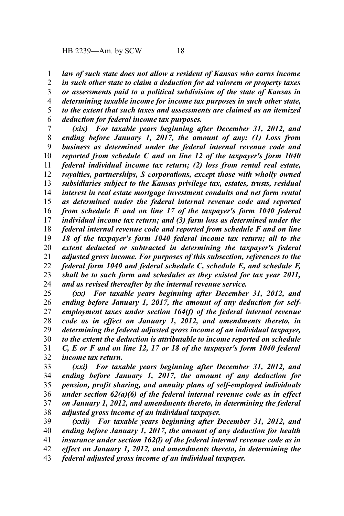*law of such state does not allow a resident of Kansas who earns income* 1

*in such other state to claim a deduction for ad valorem or property taxes or assessments paid to a political subdivision of the state of Kansas in determining taxable income for income tax purposes in such other state, to the extent that such taxes and assessments are claimed as an itemized deduction for federal income tax purposes.* 2 3 4 5 6

*(xix) For taxable years beginning after December 31, 2012, and ending before January 1, 2017, the amount of any: (1) Loss from business as determined under the federal internal revenue code and reported from schedule C and on line 12 of the taxpayer's form 1040 federal individual income tax return; (2) loss from rental real estate, royalties, partnerships, S corporations, except those with wholly owned subsidiaries subject to the Kansas privilege tax, estates, trusts, residual interest in real estate mortgage investment conduits and net farm rental as determined under the federal internal revenue code and reported from schedule E and on line 17 of the taxpayer's form 1040 federal individual income tax return; and (3) farm loss as determined under the federal internal revenue code and reported from schedule F and on line 18 of the taxpayer's form 1040 federal income tax return; all to the extent deducted or subtracted in determining the taxpayer's federal adjusted gross income. For purposes of this subsection, references to the federal form 1040 and federal schedule C, schedule E, and schedule F, shall be to such form and schedules as they existed for tax year 2011, and as revised thereafter by the internal revenue service.* 7 8 9 10 11 12 13 14 15 16 17 18 19 20 21 22 23 24

*(xx) For taxable years beginning after December 31, 2012, and ending before January 1, 2017, the amount of any deduction for selfemployment taxes under section 164(f) of the federal internal revenue code as in effect on January 1, 2012, and amendments thereto, in determining the federal adjusted gross income of an individual taxpayer, to the extent the deduction is attributable to income reported on schedule C, E or F and on line 12, 17 or 18 of the taxpayer's form 1040 federal income tax return.* 25 26 27 28 29 30 31 32

*(xxi) For taxable years beginning after December 31, 2012, and ending before January 1, 2017, the amount of any deduction for pension, profit sharing, and annuity plans of self-employed individuals under section 62(a)(6) of the federal internal revenue code as in effect on January 1, 2012, and amendments thereto, in determining the federal adjusted gross income of an individual taxpayer.* 33 34 35 36 37 38

*(xxii) For taxable years beginning after December 31, 2012, and ending before January 1, 2017, the amount of any deduction for health insurance under section 162(l) of the federal internal revenue code as in effect on January 1, 2012, and amendments thereto, in determining the federal adjusted gross income of an individual taxpayer.* 39 40 41 42 43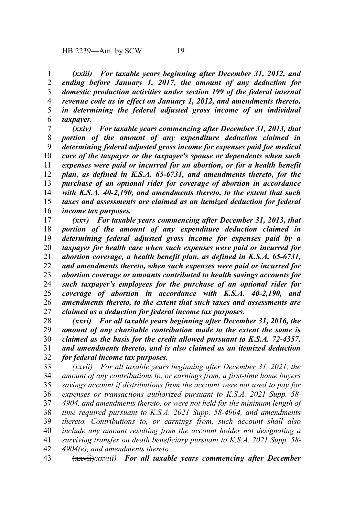*(xxiii) For taxable years beginning after December 31, 2012, and ending before January 1, 2017, the amount of any deduction for domestic production activities under section 199 of the federal internal revenue code as in effect on January 1, 2012, and amendments thereto, in determining the federal adjusted gross income of an individual taxpayer.* 1 2 3 4 5 6

*(xxiv) For taxable years commencing after December 31, 2013, that portion of the amount of any expenditure deduction claimed in determining federal adjusted gross income for expenses paid for medical care of the taxpayer or the taxpayer's spouse or dependents when such expenses were paid or incurred for an abortion, or for a health benefit plan, as defined in K.S.A. 65-6731, and amendments thereto, for the purchase of an optional rider for coverage of abortion in accordance with K.S.A. 40-2,190, and amendments thereto, to the extent that such taxes and assessments are claimed as an itemized deduction for federal income tax purposes.* 7 8 9 10 11 12 13 14 15 16

*(xxv) For taxable years commencing after December 31, 2013, that portion of the amount of any expenditure deduction claimed in determining federal adjusted gross income for expenses paid by a taxpayer for health care when such expenses were paid or incurred for abortion coverage, a health benefit plan, as defined in K.S.A. 65-6731, and amendments thereto, when such expenses were paid or incurred for abortion coverage or amounts contributed to health savings accounts for such taxpayer's employees for the purchase of an optional rider for coverage of abortion in accordance with K.S.A. 40-2,190, and amendments thereto, to the extent that such taxes and assessments are claimed as a deduction for federal income tax purposes.* 17 18 19 20 21 22 23 24 25 26 27

*(xxvi) For all taxable years beginning after December 31, 2016, the amount of any charitable contribution made to the extent the same is claimed as the basis for the credit allowed pursuant to K.S.A. 72-4357, and amendments thereto, and is also claimed as an itemized deduction for federal income tax purposes.* 28 29 30 31 32

*(xxvii) For all taxable years beginning after December 31, 2021, the amount of any contributions to, or earnings from, a first-time home buyers savings account if distributions from the account were not used to pay for expenses or transactions authorized pursuant to K.S.A. 2021 Supp. 58- 4904, and amendments thereto, or were not held for the minimum length of time required pursuant to K.S.A. 2021 Supp. 58-4904, and amendments thereto. Contributions to, or earnings from, such account shall also include any amount resulting from the account holder not designating a surviving transfer on death beneficiary pursuant to K.S.A. 2021 Supp. 58- 4904(e), and amendments thereto.* 33 34 35 36 37 38 39 40 41 42

(xxvii)*(xxviii) For all taxable years commencing after December* 43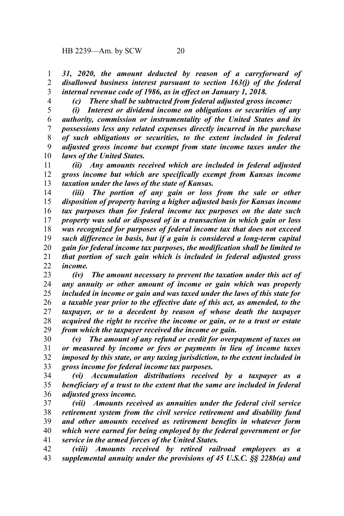*31, 2020, the amount deducted by reason of a carryforward of disallowed business interest pursuant to section 163(j) of the federal internal revenue code of 1986, as in effect on January 1, 2018.* 1 2 3

4

*(c) There shall be subtracted from federal adjusted gross income:*

*(i) Interest or dividend income on obligations or securities of any authority, commission or instrumentality of the United States and its possessions less any related expenses directly incurred in the purchase of such obligations or securities, to the extent included in federal adjusted gross income but exempt from state income taxes under the laws of the United States.* 5 6 7 8 9 10

*(ii) Any amounts received which are included in federal adjusted gross income but which are specifically exempt from Kansas income taxation under the laws of the state of Kansas.* 11 12 13

*(iii) The portion of any gain or loss from the sale or other disposition of property having a higher adjusted basis for Kansas income tax purposes than for federal income tax purposes on the date such property was sold or disposed of in a transaction in which gain or loss was recognized for purposes of federal income tax that does not exceed such difference in basis, but if a gain is considered a long-term capital gain for federal income tax purposes, the modification shall be limited to that portion of such gain which is included in federal adjusted gross income.* 14 15 16 17 18 19 20 21 22

*(iv) The amount necessary to prevent the taxation under this act of any annuity or other amount of income or gain which was properly included in income or gain and was taxed under the laws of this state for a taxable year prior to the effective date of this act, as amended, to the taxpayer, or to a decedent by reason of whose death the taxpayer acquired the right to receive the income or gain, or to a trust or estate from which the taxpayer received the income or gain.* 23 24 25 26 27 28 29

*(v) The amount of any refund or credit for overpayment of taxes on or measured by income or fees or payments in lieu of income taxes imposed by this state, or any taxing jurisdiction, to the extent included in gross income for federal income tax purposes.* 30 31 32 33

*(vi) Accumulation distributions received by a taxpayer as a beneficiary of a trust to the extent that the same are included in federal adjusted gross income.* 34 35 36

*(vii) Amounts received as annuities under the federal civil service retirement system from the civil service retirement and disability fund and other amounts received as retirement benefits in whatever form which were earned for being employed by the federal government or for service in the armed forces of the United States.* 37 38 39 40 41

*(viii) Amounts received by retired railroad employees as a supplemental annuity under the provisions of 45 U.S.C. §§ 228b(a) and* 42 43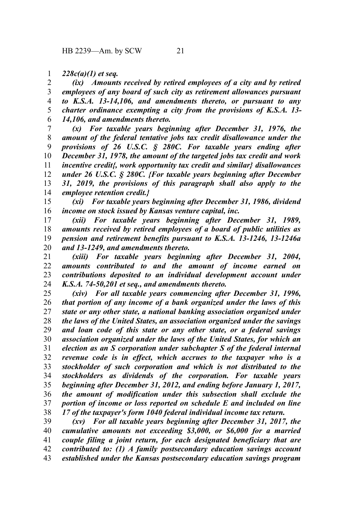## *228c(a)(1) et seq.* 1

*(ix) Amounts received by retired employees of a city and by retired employees of any board of such city as retirement allowances pursuant to K.S.A. 13-14,106, and amendments thereto, or pursuant to any charter ordinance exempting a city from the provisions of K.S.A. 13- 14,106, and amendments thereto.* 2 3 4 5 6

*(x) For taxable years beginning after December 31, 1976, the amount of the federal tentative jobs tax credit disallowance under the provisions of 26 U.S.C. § 280C. For taxable years ending after December 31, 1978, the amount of the targeted jobs tax credit and work incentive credit{, work opportunity tax credit and similar} disallowances under 26 U.S.C. § 280C. {For taxable years beginning after December 31, 2019, the provisions of this paragraph shall also apply to the employee retention credit.}* 7 8 9 10 11 12 13 14

*(xi) For taxable years beginning after December 31, 1986, dividend income on stock issued by Kansas venture capital, inc.* 15 16

*(xii) For taxable years beginning after December 31, 1989, amounts received by retired employees of a board of public utilities as pension and retirement benefits pursuant to K.S.A. 13-1246, 13-1246a and 13-1249, and amendments thereto.* 17 18 19 20

*(xiii) For taxable years beginning after December 31, 2004, amounts contributed to and the amount of income earned on contributions deposited to an individual development account under K.S.A. 74-50,201 et seq., and amendments thereto.* 21 22 23 24

*(xiv) For all taxable years commencing after December 31, 1996, that portion of any income of a bank organized under the laws of this state or any other state, a national banking association organized under the laws of the United States, an association organized under the savings and loan code of this state or any other state, or a federal savings association organized under the laws of the United States, for which an election as an S corporation under subchapter S of the federal internal revenue code is in effect, which accrues to the taxpayer who is a stockholder of such corporation and which is not distributed to the stockholders as dividends of the corporation. For taxable years beginning after December 31, 2012, and ending before January 1, 2017, the amount of modification under this subsection shall exclude the portion of income or loss reported on schedule E and included on line 17 of the taxpayer's form 1040 federal individual income tax return.* 25 26 27 28 29 30 31 32 33 34 35 36 37 38

*(xv) For all taxable years beginning after December 31, 2017, the cumulative amounts not exceeding \$3,000, or \$6,000 for a married couple filing a joint return, for each designated beneficiary that are contributed to: (1) A family postsecondary education savings account established under the Kansas postsecondary education savings program* 39 40 41 42 43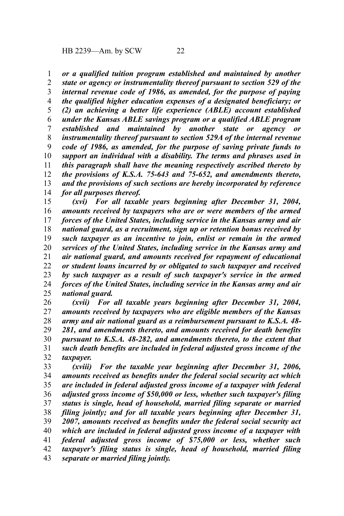*or a qualified tuition program established and maintained by another* 1

*state or agency or instrumentality thereof pursuant to section 529 of the internal revenue code of 1986, as amended, for the purpose of paying the qualified higher education expenses of a designated beneficiary; or (2) an achieving a better life experience (ABLE) account established under the Kansas ABLE savings program or a qualified ABLE program established and maintained by another state or agency or instrumentality thereof pursuant to section 529A of the internal revenue code of 1986, as amended, for the purpose of saving private funds to support an individual with a disability. The terms and phrases used in this paragraph shall have the meaning respectively ascribed thereto by the provisions of K.S.A. 75-643 and 75-652, and amendments thereto, and the provisions of such sections are hereby incorporated by reference for all purposes thereof.* 2 3 4 5 6 7 8 9 10 11 12 13 14

*(xvi) For all taxable years beginning after December 31, 2004, amounts received by taxpayers who are or were members of the armed forces of the United States, including service in the Kansas army and air national guard, as a recruitment, sign up or retention bonus received by such taxpayer as an incentive to join, enlist or remain in the armed services of the United States, including service in the Kansas army and air national guard, and amounts received for repayment of educational or student loans incurred by or obligated to such taxpayer and received by such taxpayer as a result of such taxpayer's service in the armed forces of the United States, including service in the Kansas army and air national guard.* 15 16 17 18 19 20 21 22 23 24 25

*(xvii) For all taxable years beginning after December 31, 2004, amounts received by taxpayers who are eligible members of the Kansas army and air national guard as a reimbursement pursuant to K.S.A. 48- 281, and amendments thereto, and amounts received for death benefits pursuant to K.S.A. 48-282, and amendments thereto, to the extent that such death benefits are included in federal adjusted gross income of the taxpayer.* 26 27 28 29 30 31 32

*(xviii) For the taxable year beginning after December 31, 2006, amounts received as benefits under the federal social security act which are included in federal adjusted gross income of a taxpayer with federal adjusted gross income of \$50,000 or less, whether such taxpayer's filing status is single, head of household, married filing separate or married filing jointly; and for all taxable years beginning after December 31, 2007, amounts received as benefits under the federal social security act which are included in federal adjusted gross income of a taxpayer with federal adjusted gross income of \$75,000 or less, whether such taxpayer's filing status is single, head of household, married filing separate or married filing jointly.* 33 34 35 36 37 38 39 40 41 42 43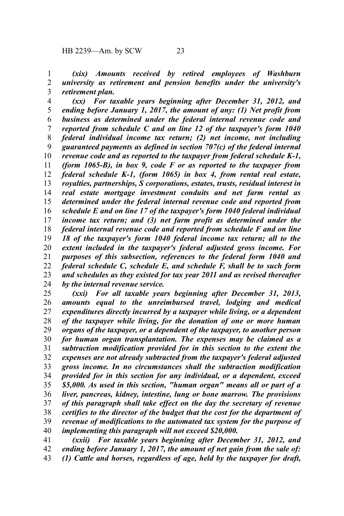*(xix) Amounts received by retired employees of Washburn university as retirement and pension benefits under the university's retirement plan.* 1 2 3

*(xx) For taxable years beginning after December 31, 2012, and ending before January 1, 2017, the amount of any: (1) Net profit from business as determined under the federal internal revenue code and reported from schedule C and on line 12 of the taxpayer's form 1040 federal individual income tax return; (2) net income, not including guaranteed payments as defined in section 707(c) of the federal internal revenue code and as reported to the taxpayer from federal schedule K-1, (form 1065-B), in box 9, code F or as reported to the taxpayer from federal schedule K-1, (form 1065) in box 4, from rental real estate, royalties, partnerships, S corporations, estates, trusts, residual interest in real estate mortgage investment conduits and net farm rental as determined under the federal internal revenue code and reported from schedule E and on line 17 of the taxpayer's form 1040 federal individual income tax return; and (3) net farm profit as determined under the federal internal revenue code and reported from schedule F and on line 18 of the taxpayer's form 1040 federal income tax return; all to the extent included in the taxpayer's federal adjusted gross income. For purposes of this subsection, references to the federal form 1040 and federal schedule C, schedule E, and schedule F, shall be to such form and schedules as they existed for tax year 2011 and as revised thereafter by the internal revenue service.* 4 5 6 7 8 9 10 11 12 13 14 15 16 17 18 19 20 21 22 23 24

*(xxi) For all taxable years beginning after December 31, 2013, amounts equal to the unreimbursed travel, lodging and medical expenditures directly incurred by a taxpayer while living, or a dependent of the taxpayer while living, for the donation of one or more human organs of the taxpayer, or a dependent of the taxpayer, to another person for human organ transplantation. The expenses may be claimed as a subtraction modification provided for in this section to the extent the expenses are not already subtracted from the taxpayer's federal adjusted gross income. In no circumstances shall the subtraction modification provided for in this section for any individual, or a dependent, exceed \$5,000. As used in this section, "human organ" means all or part of a liver, pancreas, kidney, intestine, lung or bone marrow. The provisions of this paragraph shall take effect on the day the secretary of revenue certifies to the director of the budget that the cost for the department of revenue of modifications to the automated tax system for the purpose of implementing this paragraph will not exceed \$20,000.* 25 26 27 28 29 30 31 32 33 34 35 36 37 38 39 40

*(xxii) For taxable years beginning after December 31, 2012, and ending before January 1, 2017, the amount of net gain from the sale of: (1) Cattle and horses, regardless of age, held by the taxpayer for draft,* 41 42 43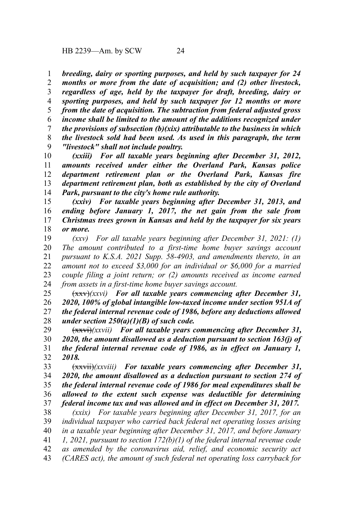HB 2239—Am. by SCW 24

*breeding, dairy or sporting purposes, and held by such taxpayer for 24 months or more from the date of acquisition; and (2) other livestock, regardless of age, held by the taxpayer for draft, breeding, dairy or sporting purposes, and held by such taxpayer for 12 months or more from the date of acquisition. The subtraction from federal adjusted gross income shall be limited to the amount of the additions recognized under the provisions of subsection (b)(xix) attributable to the business in which the livestock sold had been used. As used in this paragraph, the term "livestock" shall not include poultry.* 1 2 3 4 5 6 7 8 9

*(xxiii) For all taxable years beginning after December 31, 2012, amounts received under either the Overland Park, Kansas police department retirement plan or the Overland Park, Kansas fire department retirement plan, both as established by the city of Overland Park, pursuant to the city's home rule authority.* 10 11 12 13 14

*(xxiv) For taxable years beginning after December 31, 2013, and ending before January 1, 2017, the net gain from the sale from Christmas trees grown in Kansas and held by the taxpayer for six years or more.* 15 16 17 18

*(xxv) For all taxable years beginning after December 31, 2021: (1) The amount contributed to a first-time home buyer savings account pursuant to K.S.A. 2021 Supp. 58-4903, and amendments thereto, in an amount not to exceed \$3,000 for an individual or \$6,000 for a married couple filing a joint return; or (2) amounts received as income earned from assets in a first-time home buyer savings account.* 19 20 21 22 23 24

(xxv)*(xxvi) For all taxable years commencing after December 31, 2020, 100% of global intangible low-taxed income under section 951A of the federal internal revenue code of 1986, before any deductions allowed under section 250(a)(1)(B) of such code.* 25 26 27 28

(xxvi)*(xxvii) For all taxable years commencing after December 31, 2020, the amount disallowed as a deduction pursuant to section 163(j) of the federal internal revenue code of 1986, as in effect on January 1, 2018.* 29 30 31 32

(xxvii)*(xxviii) For taxable years commencing after December 31, 2020, the amount disallowed as a deduction pursuant to section 274 of the federal internal revenue code of 1986 for meal expenditures shall be allowed to the extent such expense was deductible for determining federal income tax and was allowed and in effect on December 31, 2017.* 33 34 35 36 37

*(xxix) For taxable years beginning after December 31, 2017, for an individual taxpayer who carried back federal net operating losses arising in a taxable year beginning after December 31, 2017, and before January 1, 2021, pursuant to section 172(b)(1) of the federal internal revenue code as amended by the coronavirus aid, relief, and economic security act (CARES act), the amount of such federal net operating loss carryback for* 38 39 40 41 42 43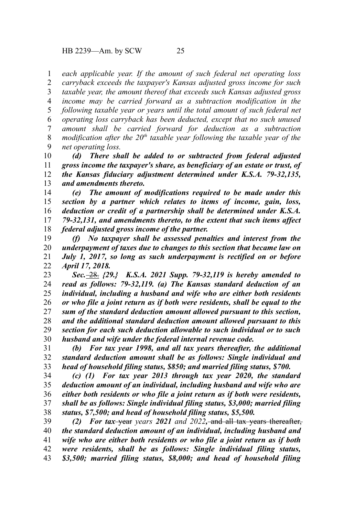*each applicable year. If the amount of such federal net operating loss carryback exceeds the taxpayer's Kansas adjusted gross income for such taxable year, the amount thereof that exceeds such Kansas adjusted gross income may be carried forward as a subtraction modification in the following taxable year or years until the total amount of such federal net operating loss carryback has been deducted, except that no such unused amount shall be carried forward for deduction as a subtraction modification after the 20<sup>th</sup> taxable year following the taxable year of the net operating loss.* 1 2 3 4 5 6 7 8 9

*(d) There shall be added to or subtracted from federal adjusted gross income the taxpayer's share, as beneficiary of an estate or trust, of the Kansas fiduciary adjustment determined under K.S.A. 79-32,135, and amendments thereto.* 10 11 12 13

*(e) The amount of modifications required to be made under this section by a partner which relates to items of income, gain, loss, deduction or credit of a partnership shall be determined under K.S.A. 79-32,131, and amendments thereto, to the extent that such items affect federal adjusted gross income of the partner.* 14 15 16 17 18

*(f) No taxpayer shall be assessed penalties and interest from the underpayment of taxes due to changes to this section that became law on July 1, 2017, so long as such underpayment is rectified on or before April 17, 2018.* 19 20 21 22

*Sec.* 28. *{29.} K.S.A. 2021 Supp. 79-32,119 is hereby amended to read as follows: 79-32,119. (a) The Kansas standard deduction of an individual, including a husband and wife who are either both residents or who file a joint return as if both were residents, shall be equal to the sum of the standard deduction amount allowed pursuant to this section, and the additional standard deduction amount allowed pursuant to this section for each such deduction allowable to such individual or to such husband and wife under the federal internal revenue code.* 23 24 25 26 27 28 29 30

*(b) For tax year 1998, and all tax years thereafter, the additional standard deduction amount shall be as follows: Single individual and head of household filing status, \$850; and married filing status, \$700.* 31 32 33

*(c) (1) For tax year 2013 through tax year 2020, the standard deduction amount of an individual, including husband and wife who are either both residents or who file a joint return as if both were residents, shall be as follows: Single individual filing status, \$3,000; married filing status, \$7,500; and head of household filing status, \$5,500.* 34 35 36 37 38

*(2) For tax* year *years 2021 and 2022,* and all tax years thereafter, *the standard deduction amount of an individual, including husband and wife who are either both residents or who file a joint return as if both were residents, shall be as follows: Single individual filing status, \$3,500; married filing status, \$8,000; and head of household filing* 39 40 41 42 43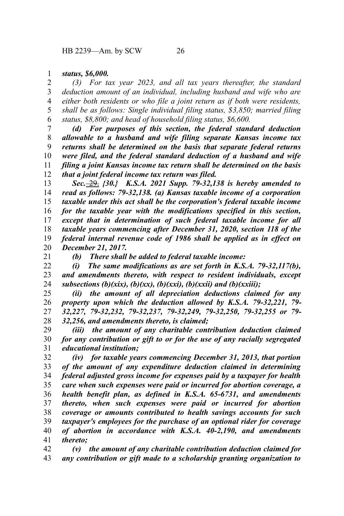*status, \$6,000.* 1

*(3) For tax year 2023, and all tax years thereafter, the standard deduction amount of an individual, including husband and wife who are either both residents or who file a joint return as if both were residents, shall be as follows: Single individual filing status, \$3,850; married filing status, \$8,800; and head of household filing status, \$6,600.* 2 3 4 5 6

*(d) For purposes of this section, the federal standard deduction allowable to a husband and wife filing separate Kansas income tax returns shall be determined on the basis that separate federal returns were filed, and the federal standard deduction of a husband and wife filing a joint Kansas income tax return shall be determined on the basis that a joint federal income tax return was filed.* 7 8 9 10 11 12

*Sec.* 29. *{30.} K.S.A. 2021 Supp. 79-32,138 is hereby amended to read as follows: 79-32,138. (a) Kansas taxable income of a corporation taxable under this act shall be the corporation's federal taxable income for the taxable year with the modifications specified in this section, except that in determination of such federal taxable income for all taxable years commencing after December 31, 2020, section 118 of the federal internal revenue code of 1986 shall be applied as in effect on December 21, 2017.* 13 14 15 16 17 18 19 20

21

*(b) There shall be added to federal taxable income:*

*(i) The same modifications as are set forth in K.S.A. 79-32,117(b), and amendments thereto, with respect to resident individuals, except subsections (b)(xix), (b)(xx), (b)(xxi), (b)(xxii) and (b)(xxiii);* 22 23 24

*(ii) the amount of all depreciation deductions claimed for any property upon which the deduction allowed by K.S.A. 79-32,221, 79- 32,227, 79-32,232, 79-32,237, 79-32,249, 79-32,250, 79-32,255 or 79- 32,256, and amendments thereto, is claimed;* 25 26 27 28

*(iii) the amount of any charitable contribution deduction claimed for any contribution or gift to or for the use of any racially segregated educational institution;* 29 30 31

*(iv) for taxable years commencing December 31, 2013, that portion of the amount of any expenditure deduction claimed in determining federal adjusted gross income for expenses paid by a taxpayer for health care when such expenses were paid or incurred for abortion coverage, a health benefit plan, as defined in K.S.A. 65-6731, and amendments thereto, when such expenses were paid or incurred for abortion coverage or amounts contributed to health savings accounts for such taxpayer's employees for the purchase of an optional rider for coverage of abortion in accordance with K.S.A. 40-2,190, and amendments thereto;* 32 33 34 35 36 37 38 39 40 41

*(v) the amount of any charitable contribution deduction claimed for any contribution or gift made to a scholarship granting organization to* 42 43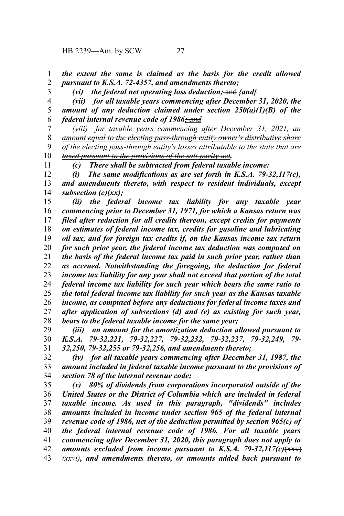HB 2239—Am. by SCW 27

3

*the extent the same is claimed as the basis for the credit allowed pursuant to K.S.A. 72-4357, and amendments thereto;* 1 2

*(vi) the federal net operating loss deduction;* and *{and}*

*(vii) for all taxable years commencing after December 31, 2020, the amount of any deduction claimed under section 250(a)(1)(B) of the federal internal revenue code of 1986; and* 4 5 6

*(viii) for taxable years commencing after December 31, 2021, an amount equal to the electing pass-through entity owner's distributive share of the electing pass-through entity's losses attributable to the state that are taxed pursuant to the provisions of the salt parity act.* 7 8 9 10 11

*(c) There shall be subtracted from federal taxable income:*

*(i) The same modifications as are set forth in K.S.A. 79-32,117(c), and amendments thereto, with respect to resident individuals, except subsection (c)(xx);* 12 13 14

*(ii) the federal income tax liability for any taxable year commencing prior to December 31, 1971, for which a Kansas return was filed after reduction for all credits thereon, except credits for payments on estimates of federal income tax, credits for gasoline and lubricating oil tax, and for foreign tax credits if, on the Kansas income tax return for such prior year, the federal income tax deduction was computed on the basis of the federal income tax paid in such prior year, rather than as accrued. Notwithstanding the foregoing, the deduction for federal income tax liability for any year shall not exceed that portion of the total federal income tax liability for such year which bears the same ratio to the total federal income tax liability for such year as the Kansas taxable income, as computed before any deductions for federal income taxes and after application of subsections (d) and (e) as existing for such year, bears to the federal taxable income for the same year;* 15 16 17 18 19 20 21 22 23 24 25 26 27 28

*(iii) an amount for the amortization deduction allowed pursuant to K.S.A. 79-32,221, 79-32,227, 79-32,232, 79-32,237, 79-32,249, 79- 32,250, 79-32,255 or 79-32,256, and amendments thereto;* 29 30 31

*(iv) for all taxable years commencing after December 31, 1987, the amount included in federal taxable income pursuant to the provisions of section 78 of the internal revenue code;* 32 33 34

*(v) 80% of dividends from corporations incorporated outside of the United States or the District of Columbia which are included in federal taxable income. As used in this paragraph, "dividends" includes amounts included in income under section 965 of the federal internal revenue code of 1986, net of the deduction permitted by section 965(c) of the federal internal revenue code of 1986. For all taxable years commencing after December 31, 2020, this paragraph does not apply to* amounts excluded from income pursuant to K.S.A. 79-32,117(c) $\left(\frac{1}{12}x\right)$ *(xxvi), and amendments thereto, or amounts added back pursuant to* 35 36 37 38 39 40 41 42 43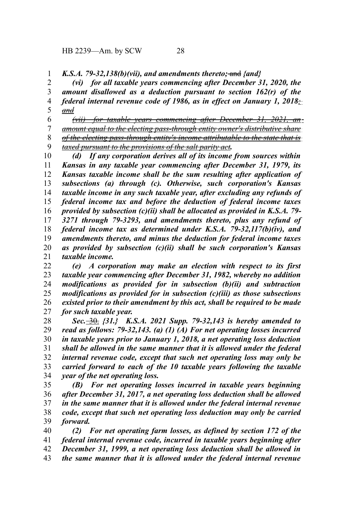*K.S.A. 79-32,138(b)(vii), and amendments thereto;* and *{and}* 1

*(vi) for all taxable years commencing after December 31, 2020, the amount disallowed as a deduction pursuant to section 162(r) of the federal internal revenue code of 1986, as in effect on January 1, 2018; and* 2 3 4 5

*(vii) for taxable years commencing after December 31, 2021, an amount equal to the electing pass-through entity owner's distributive share of the electing pass-through entity's income attributable to the state that is taxed pursuant to the provisions of the salt parity act.* 6 7 8 9

*(d) If any corporation derives all of its income from sources within Kansas in any taxable year commencing after December 31, 1979, its Kansas taxable income shall be the sum resulting after application of subsections (a) through (c). Otherwise, such corporation's Kansas taxable income in any such taxable year, after excluding any refunds of federal income tax and before the deduction of federal income taxes provided by subsection (c)(ii) shall be allocated as provided in K.S.A. 79- 3271 through 79-3293, and amendments thereto, plus any refund of federal income tax as determined under K.S.A. 79-32,117(b)(iv), and amendments thereto, and minus the deduction for federal income taxes as provided by subsection (c)(ii) shall be such corporation's Kansas taxable income.* 10 11 12 13 14 15 16 17 18 19 20 21

*(e) A corporation may make an election with respect to its first taxable year commencing after December 31, 1982, whereby no addition modifications as provided for in subsection (b)(ii) and subtraction modifications as provided for in subsection (c)(iii) as those subsections existed prior to their amendment by this act, shall be required to be made for such taxable year.* 22 23 24 25 26 27

*Sec.* 30. *{31.} K.S.A. 2021 Supp. 79-32,143 is hereby amended to read as follows: 79-32,143. (a) (1) (A) For net operating losses incurred in taxable years prior to January 1, 2018, a net operating loss deduction shall be allowed in the same manner that it is allowed under the federal internal revenue code, except that such net operating loss may only be carried forward to each of the 10 taxable years following the taxable year of the net operating loss.* 28 29 30 31 32 33 34

*(B) For net operating losses incurred in taxable years beginning after December 31, 2017, a net operating loss deduction shall be allowed in the same manner that it is allowed under the federal internal revenue code, except that such net operating loss deduction may only be carried forward.* 35 36 37 38 39

*(2) For net operating farm losses, as defined by section 172 of the federal internal revenue code, incurred in taxable years beginning after December 31, 1999, a net operating loss deduction shall be allowed in the same manner that it is allowed under the federal internal revenue* 40 41 42 43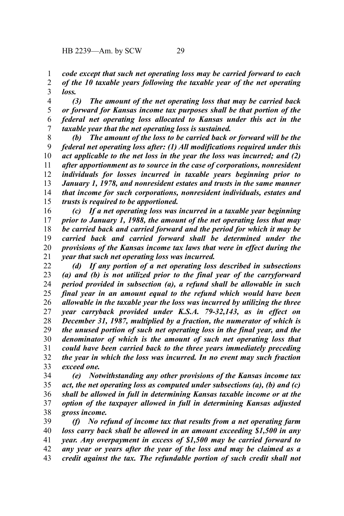*code except that such net operating loss may be carried forward to each of the 10 taxable years following the taxable year of the net operating loss.* 1 2 3

*(3) The amount of the net operating loss that may be carried back or forward for Kansas income tax purposes shall be that portion of the federal net operating loss allocated to Kansas under this act in the taxable year that the net operating loss is sustained.* 4 5 6 7

*(b) The amount of the loss to be carried back or forward will be the federal net operating loss after: (1) All modifications required under this act applicable to the net loss in the year the loss was incurred; and (2) after apportionment as to source in the case of corporations, nonresident individuals for losses incurred in taxable years beginning prior to January 1, 1978, and nonresident estates and trusts in the same manner that income for such corporations, nonresident individuals, estates and trusts is required to be apportioned.* 8 9 10 11 12 13 14 15

*(c) If a net operating loss was incurred in a taxable year beginning prior to January 1, 1988, the amount of the net operating loss that may be carried back and carried forward and the period for which it may be carried back and carried forward shall be determined under the provisions of the Kansas income tax laws that were in effect during the year that such net operating loss was incurred.* 16 17 18 19 20 21

*(d) If any portion of a net operating loss described in subsections (a) and (b) is not utilized prior to the final year of the carryforward period provided in subsection (a), a refund shall be allowable in such final year in an amount equal to the refund which would have been allowable in the taxable year the loss was incurred by utilizing the three year carryback provided under K.S.A. 79-32,143, as in effect on December 31, 1987, multiplied by a fraction, the numerator of which is the unused portion of such net operating loss in the final year, and the denominator of which is the amount of such net operating loss that could have been carried back to the three years immediately preceding the year in which the loss was incurred. In no event may such fraction exceed one.* 22 23 24 25 26 27 28 29 30 31 32 33

*(e) Notwithstanding any other provisions of the Kansas income tax act, the net operating loss as computed under subsections (a), (b) and (c) shall be allowed in full in determining Kansas taxable income or at the option of the taxpayer allowed in full in determining Kansas adjusted gross income.* 34 35 36 37 38

*(f) No refund of income tax that results from a net operating farm loss carry back shall be allowed in an amount exceeding \$1,500 in any year. Any overpayment in excess of \$1,500 may be carried forward to any year or years after the year of the loss and may be claimed as a credit against the tax. The refundable portion of such credit shall not* 39 40 41 42 43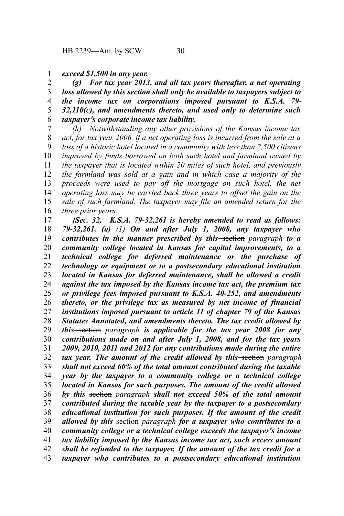## *exceed \$1,500 in any year.* 1

*(g) For tax year 2013, and all tax years thereafter, a net operating loss allowed by this section shall only be available to taxpayers subject to the income tax on corporations imposed pursuant to K.S.A. 79- 32,110(c), and amendments thereto, and used only to determine such taxpayer's corporate income tax liability.* 2 3 4 5 6

*(h) Notwithstanding any other provisions of the Kansas income tax act, for tax year 2006, if a net operating loss is incurred from the sale at a loss of a historic hotel located in a community with less than 2,500 citizens improved by funds borrowed on both such hotel and farmland owned by the taxpayer that is located within 20 miles of such hotel, and previously the farmland was sold at a gain and in which case a majority of the proceeds were used to pay off the mortgage on such hotel, the net operating loss may be carried back three years to offset the gain on the sale of such farmland. The taxpayer may file an amended return for the three prior years.* 7 8 9 10 11 12 13 14 15 16

*{Sec. 32. K.S.A. 79-32,261 is hereby amended to read as follows: 79-32,261. (a) (1) On and after July 1, 2008, any taxpayer who contributes in the manner prescribed by this* section *paragraph to a community college located in Kansas for capital improvements, to a technical college for deferred maintenance or the purchase of technology or equipment or to a postsecondary educational institution located in Kansas for deferred maintenance, shall be allowed a credit against the tax imposed by the Kansas income tax act, the premium tax or privilege fees imposed pursuant to K.S.A. 40-252, and amendments thereto, or the privilege tax as measured by net income of financial institutions imposed pursuant to article 11 of chapter 79 of the Kansas Statutes Annotated, and amendments thereto. The tax credit allowed by this* section *paragraph is applicable for the tax year 2008 for any contributions made on and after July 1, 2008, and for the tax years 2009, 2010, 2011 and 2012 for any contributions made during the entire tax year. The amount of the credit allowed by this* section *paragraph shall not exceed 60% of the total amount contributed during the taxable year by the taxpayer to a community college or a technical college located in Kansas for such purposes. The amount of the credit allowed by this* section *paragraph shall not exceed 50% of the total amount contributed during the taxable year by the taxpayer to a postsecondary educational institution for such purposes. If the amount of the credit allowed by this* section *paragraph for a taxpayer who contributes to a community college or a technical college exceeds the taxpayer's income tax liability imposed by the Kansas income tax act, such excess amount shall be refunded to the taxpayer. If the amount of the tax credit for a taxpayer who contributes to a postsecondary educational institution* 17 18 19 20 21 22 23 24 25 26 27 28 29 30 31 32 33 34 35 36 37 38 39 40 41 42 43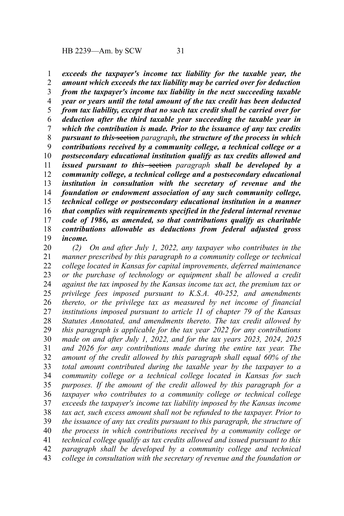*exceeds the taxpayer's income tax liability for the taxable year, the amount which exceeds the tax liability may be carried over for deduction from the taxpayer's income tax liability in the next succeeding taxable year or years until the total amount of the tax credit has been deducted from tax liability, except that no such tax credit shall be carried over for deduction after the third taxable year succeeding the taxable year in which the contribution is made. Prior to the issuance of any tax credits pursuant to this* section *paragraph, the structure of the process in which contributions received by a community college, a technical college or a postsecondary educational institution qualify as tax credits allowed and issued pursuant to this* section *paragraph* shall be developed by a *community college, a technical college and a postsecondary educational institution in consultation with the secretary of revenue and the foundation or endowment association of any such community college, technical college or postsecondary educational institution in a manner that complies with requirements specified in the federal internal revenue code of 1986, as amended, so that contributions qualify as charitable contributions allowable as deductions from federal adjusted gross income.* 1 2 3 4 5 6 7 8 9 10 11 12 13 14 15 16 17 18 19

*(2) On and after July 1, 2022, any taxpayer who contributes in the manner prescribed by this paragraph to a community college or technical college located in Kansas for capital improvements, deferred maintenance or the purchase of technology or equipment shall be allowed a credit against the tax imposed by the Kansas income tax act, the premium tax or privilege fees imposed pursuant to K.S.A. 40-252, and amendments thereto, or the privilege tax as measured by net income of financial institutions imposed pursuant to article 11 of chapter 79 of the Kansas Statutes Annotated, and amendments thereto. The tax credit allowed by this paragraph is applicable for the tax year 2022 for any contributions made on and after July 1, 2022, and for the tax years 2023, 2024, 2025 and 2026 for any contributions made during the entire tax year. The amount of the credit allowed by this paragraph shall equal 60% of the total amount contributed during the taxable year by the taxpayer to a community college or a technical college located in Kansas for such purposes. If the amount of the credit allowed by this paragraph for a taxpayer who contributes to a community college or technical college exceeds the taxpayer's income tax liability imposed by the Kansas income tax act, such excess amount shall not be refunded to the taxpayer. Prior to the issuance of any tax credits pursuant to this paragraph, the structure of the process in which contributions received by a community college or technical college qualify as tax credits allowed and issued pursuant to this paragraph shall be developed by a community college and technical college in consultation with the secretary of revenue and the foundation or* 20 21 22 23 24 25 26 27 28 29 30 31 32 33 34 35 36 37 38 39 40 41 42 43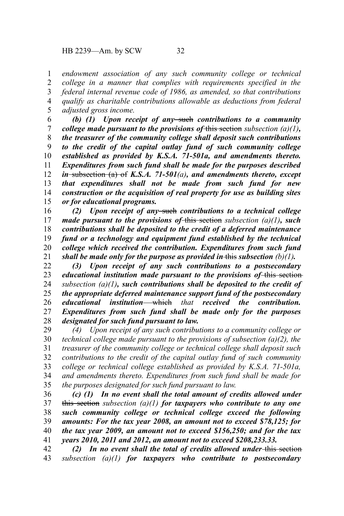*endowment association of any such community college or technical college in a manner that complies with requirements specified in the federal internal revenue code of 1986, as amended, so that contributions qualify as charitable contributions allowable as deductions from federal adjusted gross income.* 1 2 3 4 5

*(b) (1) Upon receipt of any* such *contributions to a community college made pursuant to the provisions of* this section *subsection (a)(1), the treasurer of the community college shall deposit such contributions to the credit of the capital outlay fund of such community college established as provided by K.S.A. 71-501a, and amendments thereto. Expenditures from such fund shall be made for the purposes described in* subsection (a) of *K.S.A. 71-501(a), and amendments thereto, except that expenditures shall not be made from such fund for new construction or the acquisition of real property for use as building sites or for educational programs.* 6 7 8 9 10 11 12 13 14 15

*(2) Upon receipt of any* such *contributions to a technical college made pursuant to the provisions of* this section *subsection (a)(1), such contributions shall be deposited to the credit of a deferred maintenance fund or a technology and equipment fund established by the technical college which received the contribution. Expenditures from such fund shall be made only for the purpose as provided in this subsection*  $(b)(1)$ *.* 16 17 18 19 20 21

*(3) Upon receipt of any such contributions to a postsecondary educational institution made pursuant to the provisions of* this section *subsection (a)(1), such contributions shall be deposited to the credit of the appropriate deferred maintenance support fund of the postsecondary educational institution* which *that received the contribution. Expenditures from such fund shall be made only for the purposes designated for such fund pursuant to law.* 22 23 24 25 26 27 28

*(4) Upon receipt of any such contributions to a community college or technical college made pursuant to the provisions of subsection (a)(2), the treasurer of the community college or technical college shall deposit such contributions to the credit of the capital outlay fund of such community college or technical college established as provided by K.S.A. 71-501a, and amendments thereto. Expenditures from such fund shall be made for the purposes designated for such fund pursuant to law.* 29 30 31 32 33 34 35

*(c) (1) In no event shall the total amount of credits allowed under* this section *subsection (a)(1) for taxpayers who contribute to any one such community college or technical college exceed the following amounts: For the tax year 2008, an amount not to exceed \$78,125; for the tax year 2009, an amount not to exceed \$156,250; and for the tax years 2010, 2011 and 2012, an amount not to exceed \$208,233.33.* 36 37 38 39 40 41

(2) In no event shall the total of credits allowed under-this section*subsection (a)(1) for taxpayers who contribute to postsecondary* 42 43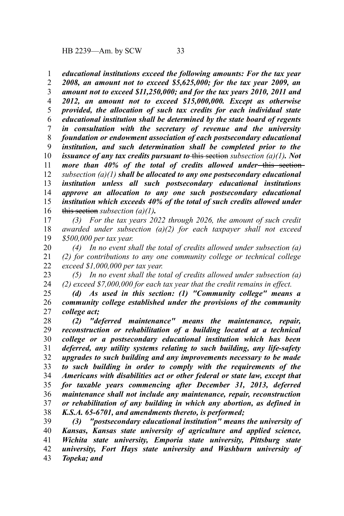*educational institutions exceed the following amounts: For the tax year* 1

*2008, an amount not to exceed \$5,625,000; for the tax year 2009, an amount not to exceed \$11,250,000; and for the tax years 2010, 2011 and 2012, an amount not to exceed \$15,000,000. Except as otherwise provided, the allocation of such tax credits for each individual state educational institution shall be determined by the state board of regents in consultation with the secretary of revenue and the university foundation or endowment association of each postsecondary educational institution, and such determination shall be completed prior to the issuance of any tax credits pursuant to* this section *subsection (a)(1). Not more than 40% of the total of credits allowed under*—this section*subsection (a)(1) shall be allocated to any one postsecondary educational institution unless all such postsecondary educational institutions approve an allocation to any one such postsecondary educational institution which exceeds 40% of the total of such credits allowed under* this section *subsection (a)(1).* 2 3 4 5 6 7 8 9 10 11 12 13 14 15 16

*(3) For the tax years 2022 through 2026, the amount of such credit awarded under subsection (a)(2) for each taxpayer shall not exceed \$500,000 per tax year.* 17 18 19

*(4) In no event shall the total of credits allowed under subsection (a) (2) for contributions to any one community college or technical college exceed \$1,000,000 per tax year.* 20 21 22

*(5) In no event shall the total of credits allowed under subsection (a) (2) exceed \$7,000,000 for each tax year that the credit remains in effect.* 23 24

*(d) As used in this section: (1) "Community college" means a community college established under the provisions of the community college act;* 25 26 27

*(2) "deferred maintenance" means the maintenance, repair, reconstruction or rehabilitation of a building located at a technical college or a postsecondary educational institution which has been deferred, any utility systems relating to such building, any life-safety upgrades to such building and any improvements necessary to be made to such building in order to comply with the requirements of the Americans with disabilities act or other federal or state law, except that for taxable years commencing after December 31, 2013, deferred maintenance shall not include any maintenance, repair, reconstruction or rehabilitation of any building in which any abortion, as defined in K.S.A. 65-6701, and amendments thereto, is performed;* 28 29 30 31 32 33 34 35 36 37 38

*(3) "postsecondary educational institution" means the university of Kansas, Kansas state university of agriculture and applied science, Wichita state university, Emporia state university, Pittsburg state university, Fort Hays state university and Washburn university of Topeka; and* 39 40 41 42 43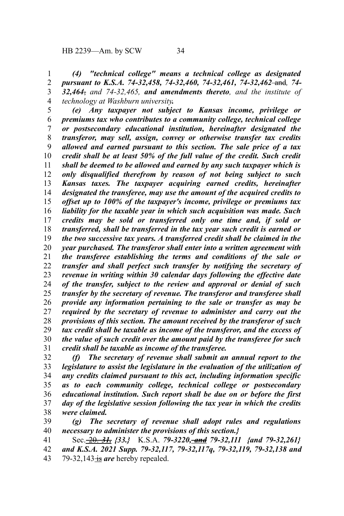*(4) "technical college" means a technical college as designated pursuant to K.S.A. 74-32,458, 74-32,460, 74-32,461, 74-32,462* and*, 74- 32,464*, *and 74-32,465, and amendments thereto, and the institute of technology at Washburn university.* 1 2 3 4

*(e) Any taxpayer not subject to Kansas income, privilege or premiums tax who contributes to a community college, technical college or postsecondary educational institution, hereinafter designated the transferor, may sell, assign, convey or otherwise transfer tax credits allowed and earned pursuant to this section. The sale price of a tax credit shall be at least 50% of the full value of the credit. Such credit shall be deemed to be allowed and earned by any such taxpayer which is only disqualified therefrom by reason of not being subject to such Kansas taxes. The taxpayer acquiring earned credits, hereinafter designated the transferee, may use the amount of the acquired credits to offset up to 100% of the taxpayer's income, privilege or premiums tax liability for the taxable year in which such acquisition was made. Such credits may be sold or transferred only one time and, if sold or transferred, shall be transferred in the tax year such credit is earned or the two successive tax years. A transferred credit shall be claimed in the year purchased. The transferor shall enter into a written agreement with the transferee establishing the terms and conditions of the sale or transfer and shall perfect such transfer by notifying the secretary of revenue in writing within 30 calendar days following the effective date of the transfer, subject to the review and approval or denial of such transfer by the secretary of revenue. The transferor and transferee shall provide any information pertaining to the sale or transfer as may be required by the secretary of revenue to administer and carry out the provisions of this section. The amount received by the transferor of such tax credit shall be taxable as income of the transferor, and the excess of the value of such credit over the amount paid by the transferee for such credit shall be taxable as income of the transferee.* 5 6 7 8 9 10 11 12 13 14 15 16 17 18 19 20 21 22 23 24 25 26 27 28 29 30 31

*(f) The secretary of revenue shall submit an annual report to the legislature to assist the legislature in the evaluation of the utilization of any credits claimed pursuant to this act, including information specific as to each community college, technical college or postsecondary educational institution. Such report shall be due on or before the first day of the legislative session following the tax year in which the credits were claimed.* 32 33 34 35 36 37 38

*(g) The secretary of revenue shall adopt rules and regulations necessary to administer the provisions of this section.}* 39 40

Sec. 20. *31. {33.}* K.S.A. *79-3220, and 79-32,111 {and 79-32,261} and K.S.A. 2021 Supp. 79-32,117, 79-32,117q, 79-32,119, 79-32,138 and* 79-32,143 is are hereby repealed. 41 42 43